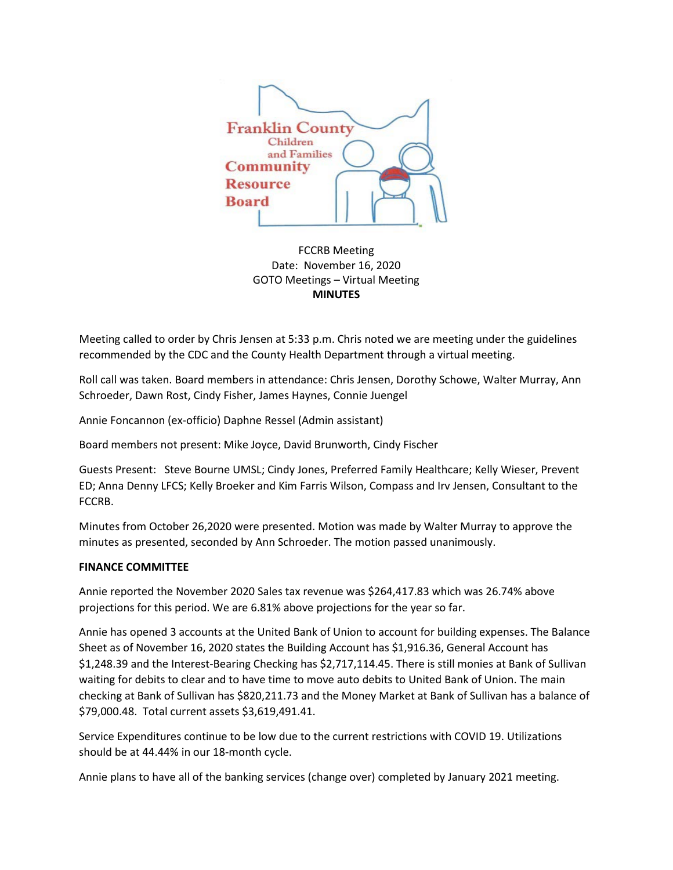

FCCRB Meeting Date: November 16, 2020 GOTO Meetings – Virtual Meeting **MINUTES**

Meeting called to order by Chris Jensen at 5:33 p.m. Chris noted we are meeting under the guidelines recommended by the CDC and the County Health Department through a virtual meeting.

Roll call was taken. Board members in attendance: Chris Jensen, Dorothy Schowe, Walter Murray, Ann Schroeder, Dawn Rost, Cindy Fisher, James Haynes, Connie Juengel

Annie Foncannon (ex-officio) Daphne Ressel (Admin assistant)

Board members not present: Mike Joyce, David Brunworth, Cindy Fischer

Guests Present: Steve Bourne UMSL; Cindy Jones, Preferred Family Healthcare; Kelly Wieser, Prevent ED; Anna Denny LFCS; Kelly Broeker and Kim Farris Wilson, Compass and Irv Jensen, Consultant to the FCCRB.

Minutes from October 26,2020 were presented. Motion was made by Walter Murray to approve the minutes as presented, seconded by Ann Schroeder. The motion passed unanimously.

# **FINANCE COMMITTEE**

Annie reported the November 2020 Sales tax revenue was \$264,417.83 which was 26.74% above projections for this period. We are 6.81% above projections for the year so far.

Annie has opened 3 accounts at the United Bank of Union to account for building expenses. The Balance Sheet as of November 16, 2020 states the Building Account has \$1,916.36, General Account has \$1,248.39 and the Interest-Bearing Checking has \$2,717,114.45. There is still monies at Bank of Sullivan waiting for debits to clear and to have time to move auto debits to United Bank of Union. The main checking at Bank of Sullivan has \$820,211.73 and the Money Market at Bank of Sullivan has a balance of \$79,000.48. Total current assets \$3,619,491.41.

Service Expenditures continue to be low due to the current restrictions with COVID 19. Utilizations should be at 44.44% in our 18-month cycle.

Annie plans to have all of the banking services (change over) completed by January 2021 meeting.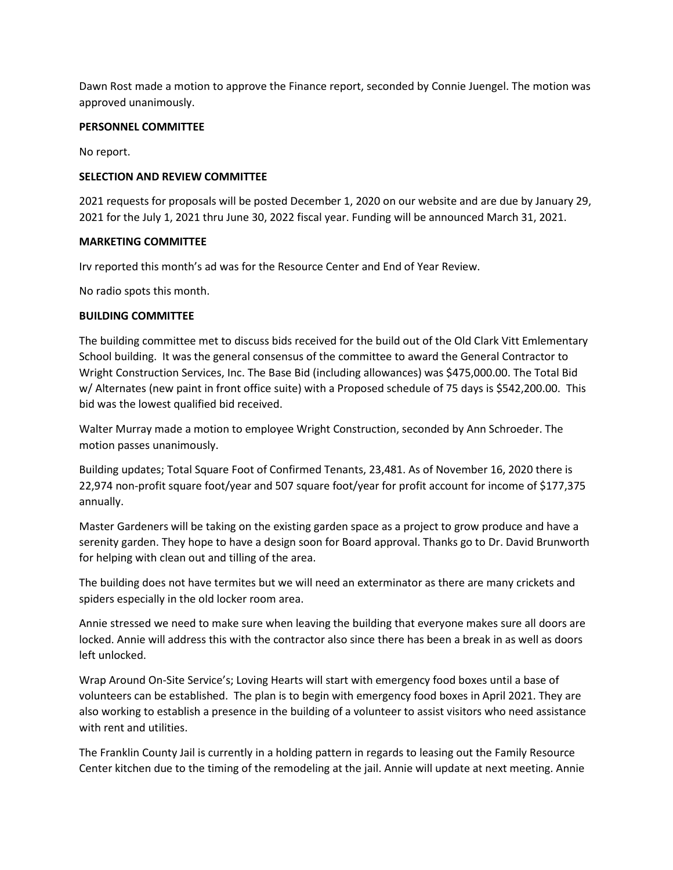Dawn Rost made a motion to approve the Finance report, seconded by Connie Juengel. The motion was approved unanimously.

#### **PERSONNEL COMMITTEE**

No report.

### **SELECTION AND REVIEW COMMITTEE**

2021 requests for proposals will be posted December 1, 2020 on our website and are due by January 29, 2021 for the July 1, 2021 thru June 30, 2022 fiscal year. Funding will be announced March 31, 2021.

# **MARKETING COMMITTEE**

Irv reported this month's ad was for the Resource Center and End of Year Review.

No radio spots this month.

#### **BUILDING COMMITTEE**

The building committee met to discuss bids received for the build out of the Old Clark Vitt Emlementary School building. It was the general consensus of the committee to award the General Contractor to Wright Construction Services, Inc. The Base Bid (including allowances) was \$475,000.00. The Total Bid w/ Alternates (new paint in front office suite) with a Proposed schedule of 75 days is \$542,200.00. This bid was the lowest qualified bid received.

Walter Murray made a motion to employee Wright Construction, seconded by Ann Schroeder. The motion passes unanimously.

Building updates; Total Square Foot of Confirmed Tenants, 23,481. As of November 16, 2020 there is 22,974 non-profit square foot/year and 507 square foot/year for profit account for income of \$177,375 annually.

Master Gardeners will be taking on the existing garden space as a project to grow produce and have a serenity garden. They hope to have a design soon for Board approval. Thanks go to Dr. David Brunworth for helping with clean out and tilling of the area.

The building does not have termites but we will need an exterminator as there are many crickets and spiders especially in the old locker room area.

Annie stressed we need to make sure when leaving the building that everyone makes sure all doors are locked. Annie will address this with the contractor also since there has been a break in as well as doors left unlocked.

Wrap Around On-Site Service's; Loving Hearts will start with emergency food boxes until a base of volunteers can be established. The plan is to begin with emergency food boxes in April 2021. They are also working to establish a presence in the building of a volunteer to assist visitors who need assistance with rent and utilities.

The Franklin County Jail is currently in a holding pattern in regards to leasing out the Family Resource Center kitchen due to the timing of the remodeling at the jail. Annie will update at next meeting. Annie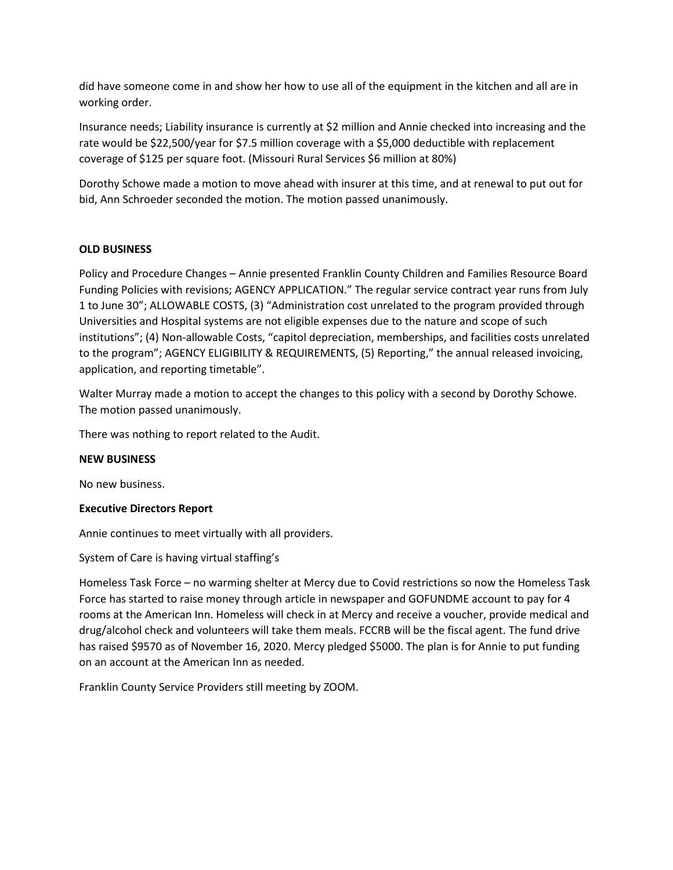did have someone come in and show her how to use all of the equipment in the kitchen and all are in working order.

Insurance needs; Liability insurance is currently at \$2 million and Annie checked into increasing and the rate would be \$22,500/year for \$7.5 million coverage with a \$5,000 deductible with replacement coverage of \$125 per square foot. (Missouri Rural Services \$6 million at 80%)

Dorothy Schowe made a motion to move ahead with insurer at this time, and at renewal to put out for bid, Ann Schroeder seconded the motion. The motion passed unanimously.

# **OLD BUSINESS**

Policy and Procedure Changes – Annie presented Franklin County Children and Families Resource Board Funding Policies with revisions; AGENCY APPLICATION." The regular service contract year runs from July 1 to June 30"; ALLOWABLE COSTS, (3) "Administration cost unrelated to the program provided through Universities and Hospital systems are not eligible expenses due to the nature and scope of such institutions"; (4) Non-allowable Costs, "capitol depreciation, memberships, and facilities costs unrelated to the program"; AGENCY ELIGIBILITY & REQUIREMENTS, (5) Reporting," the annual released invoicing, application, and reporting timetable".

Walter Murray made a motion to accept the changes to this policy with a second by Dorothy Schowe. The motion passed unanimously.

There was nothing to report related to the Audit.

# **NEW BUSINESS**

No new business.

# **Executive Directors Report**

Annie continues to meet virtually with all providers.

System of Care is having virtual staffing's

Homeless Task Force – no warming shelter at Mercy due to Covid restrictions so now the Homeless Task Force has started to raise money through article in newspaper and GOFUNDME account to pay for 4 rooms at the American Inn. Homeless will check in at Mercy and receive a voucher, provide medical and drug/alcohol check and volunteers will take them meals. FCCRB will be the fiscal agent. The fund drive has raised \$9570 as of November 16, 2020. Mercy pledged \$5000. The plan is for Annie to put funding on an account at the American Inn as needed.

Franklin County Service Providers still meeting by ZOOM.